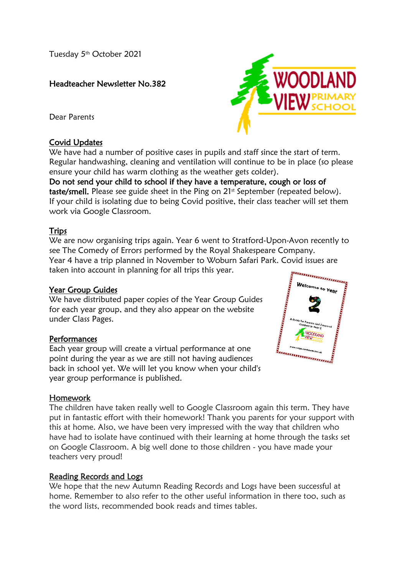Tuesday 5<sup>th</sup> October 2021

## Headteacher Newsletter No.382

Dear Parents

## Covid Updates

We have had a number of positive cases in pupils and staff since the start of term. Regular handwashing, cleaning and ventilation will continue to be in place (so please ensure your child has warm clothing as the weather gets colder).

Do not send your child to school if they have a temperature, cough or loss of taste/smell. Please see guide sheet in the Ping on  $21<sup>st</sup>$  September (repeated below). If your child is isolating due to being Covid positive, their class teacher will set them work via Google Classroom.

### Trips

We are now organising trips again. Year 6 went to Stratford-Upon-Avon recently to see The Comedy of Errors performed by the Royal Shakespeare Company. Year 4 have a trip planned in November to Woburn Safari Park. Covid issues are taken into account in planning for all trips this year.

#### Year Group Guides

We have distributed paper copies of the Year Group Guides for each year group, and they also appear on the website under Class Pages.

## Performances

Each year group will create a virtual performance at one point during the year as we are still not having audiences back in school yet. We will let you know when your child's year group performance is published.



The children have taken really well to Google Classroom again this term. They have put in fantastic effort with their homework! Thank you parents for your support with this at home. Also, we have been very impressed with the way that children who have had to isolate have continued with their learning at home through the tasks set on Google Classroom. A big well done to those children - you have made your teachers very proud!

#### Reading Records and Logs

We hope that the new Autumn Reading Records and Logs have been successful at home. Remember to also refer to the other useful information in there too, such as the word lists, recommended book reads and times tables.



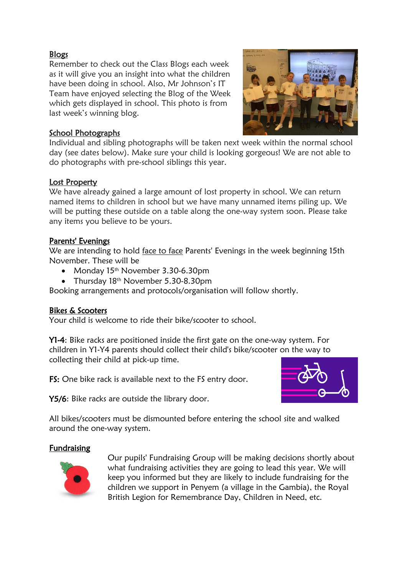## Blogs

Remember to check out the Class Blogs each week as it will give you an insight into what the children have been doing in school. Also, Mr Johnson's IT Team have enjoyed selecting the Blog of the Week which gets displayed in school. This photo is from last week's winning blog.



## School Photographs

Individual and sibling photographs will be taken next week within the normal school day (see dates below). Make sure your child is looking gorgeous! We are not able to do photographs with pre-school siblings this year.

### Lost Property

We have already gained a large amount of lost property in school. We can return named items to children in school but we have many unnamed items piling up. We will be putting these outside on a table along the one-way system soon. Please take any items you believe to be yours.

### Parents' Evenings

We are intending to hold face to face Parents' Evenings in the week beginning 15th November. These will be

- Monday 15<sup>th</sup> November 3.30-6.30pm
- Thursday 18<sup>th</sup> November 5.30-8.30pm

Booking arrangements and protocols/organisation will follow shortly.

## Bikes & Scooters

Your child is welcome to ride their bike/scooter to school.

Y1-4: Bike racks are positioned inside the first gate on the one-way system. For children in Y1-Y4 parents should collect their child's bike/scooter on the way to collecting their child at pick-up time.

FS: One bike rack is available next to the FS entry door.



Y5/6: Bike racks are outside the library door.

All bikes/scooters must be dismounted before entering the school site and walked around the one-way system.

## Fundraising



Our pupils' Fundraising Group will be making decisions shortly about what fundraising activities they are going to lead this year. We will keep you informed but they are likely to include fundraising for the children we support in Penyem (a village in the Gambia), the Royal British Legion for Remembrance Day, Children in Need, etc.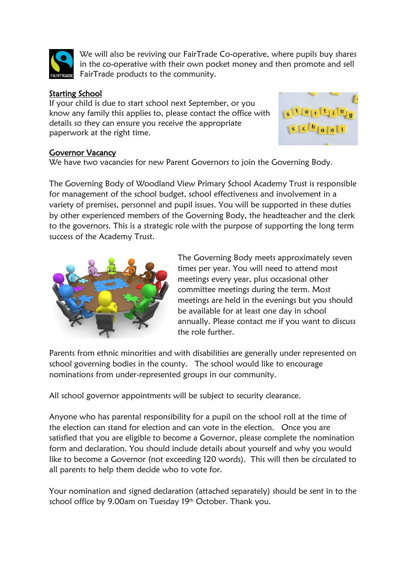

We will also be reviving our FairTrade Co-operative, where pupils buy shares in the co-operative with their own pocket money and then promote and sell FairTrade products to the community.

## Starting School

If your child is due to start school next September, or you know any family this applies to, please contact the office with details so they can ensure you receive the appropriate paperwork at the right time.



## Governor Vacancy

We have two vacancies for new Parent Governors to join the Governing Body.

The Governing Body of Woodland View Primary School Academy Trust is responsible for management of the school budget, school effectiveness and involvement in a variety of premises, personnel and pupil issues. You will be supported in these duties by other experienced members of the Governing Body, the headteacher and the clerk to the governors. This is a strategic role with the purpose of supporting the long term success of the Academy Trust.



The Governing Body meets approximately seven times per year. You will need to attend most meetings every year, plus occasional other committee meetings during the term. Most meetings are held in the evenings but you should be available for at least one day in school annually. Please contact me if you want to discuss the role further.

Parents from ethnic minorities and with disabilities are generally under represented on school governing bodies in the county. The school would like to encourage nominations from under-represented groups in our community.

All school governor appointments will be subject to security clearance.

Anyone who has parental responsibility for a pupil on the school roll at the time of the election can stand for election and can vote in the election. Once you are satisfied that you are eligible to become a Governor, please complete the nomination form and declaration. You should include details about yourself and why you would like to become a Governor (not exceeding 120 words). This will then be circulated to all parents to help them decide who to vote for.

Your nomination and signed declaration (attached separately) should be sent in to the school office by 9.00am on Tuesday 19<sup>th</sup> October. Thank you.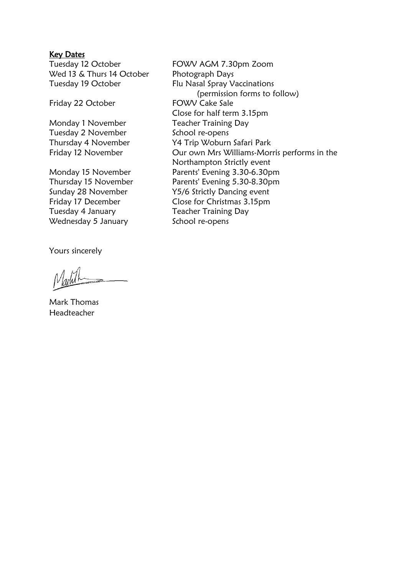#### Key Dates

Wed 13 & Thurs 14 October Photograph Days

Friday 22 October

Tuesday 2 November School re-opens

Tuesday 4 January Teacher Training Day Wednesday 5 January School re-opens

Yours sincerely

Mark Thomas Headteacher

Tuesday 12 October FOWV AGM 7.30pm Zoom Tuesday 19 October Flu Nasal Spray Vaccinations (permission forms to follow)<br>FOWV Cake Sale Close for half term 3.15pm Monday 1 November Teacher Training Day Thursday 4 November Y4 Trip Woburn Safari Park Friday 12 November **Our own Mrs Williams-Morris performs in the** Northampton Strictly event Monday 15 November Parents' Evening 3.30-6.30pm Thursday 15 November Parents' Evening 5.30-8.30pm Sunday 28 November Y5/6 Strictly Dancing event Friday 17 December Close for Christmas 3.15pm